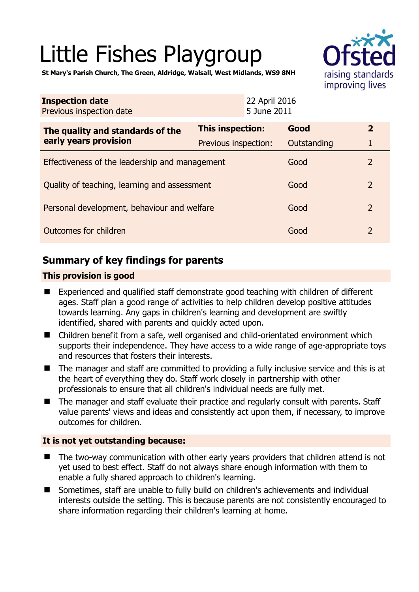# Little Fishes Playgroup



**St Mary's Parish Church, The Green, Aldridge, Walsall, West Midlands, WS9 8NH** 

| <b>Inspection date</b><br>Previous inspection date        | 22 April 2016<br>5 June 2011 |             |                |
|-----------------------------------------------------------|------------------------------|-------------|----------------|
| The quality and standards of the<br>early years provision | <b>This inspection:</b>      | Good        | $\mathbf{2}$   |
|                                                           | <b>Previous inspection:</b>  | Outstanding | 1              |
| Effectiveness of the leadership and management            |                              | Good        | 2              |
| Quality of teaching, learning and assessment              |                              | Good        | $\overline{2}$ |
| Personal development, behaviour and welfare               |                              | Good        | $\overline{2}$ |
| Outcomes for children                                     |                              | Good        | 2              |

## **Summary of key findings for parents**

#### **This provision is good**

- Experienced and qualified staff demonstrate good teaching with children of different ages. Staff plan a good range of activities to help children develop positive attitudes towards learning. Any gaps in children's learning and development are swiftly identified, shared with parents and quickly acted upon.
- Children benefit from a safe, well organised and child-orientated environment which supports their independence. They have access to a wide range of age-appropriate toys and resources that fosters their interests.
- The manager and staff are committed to providing a fully inclusive service and this is at the heart of everything they do. Staff work closely in partnership with other professionals to ensure that all children's individual needs are fully met.
- The manager and staff evaluate their practice and regularly consult with parents. Staff value parents' views and ideas and consistently act upon them, if necessary, to improve outcomes for children.

#### **It is not yet outstanding because:**

- The two-way communication with other early years providers that children attend is not yet used to best effect. Staff do not always share enough information with them to enable a fully shared approach to children's learning.
- Sometimes, staff are unable to fully build on children's achievements and individual interests outside the setting. This is because parents are not consistently encouraged to share information regarding their children's learning at home.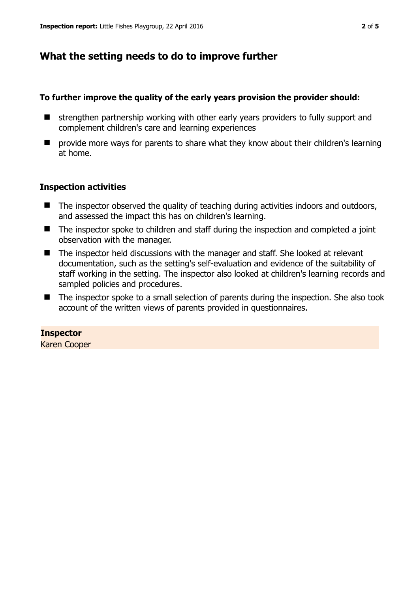## **What the setting needs to do to improve further**

#### **To further improve the quality of the early years provision the provider should:**

- $\blacksquare$  strengthen partnership working with other early years providers to fully support and complement children's care and learning experiences
- $\blacksquare$  provide more ways for parents to share what they know about their children's learning at home.

#### **Inspection activities**

- $\blacksquare$  The inspector observed the quality of teaching during activities indoors and outdoors, and assessed the impact this has on children's learning.
- The inspector spoke to children and staff during the inspection and completed a joint observation with the manager.
- The inspector held discussions with the manager and staff. She looked at relevant documentation, such as the setting's self-evaluation and evidence of the suitability of staff working in the setting. The inspector also looked at children's learning records and sampled policies and procedures.
- The inspector spoke to a small selection of parents during the inspection. She also took account of the written views of parents provided in questionnaires.

#### **Inspector**

Karen Cooper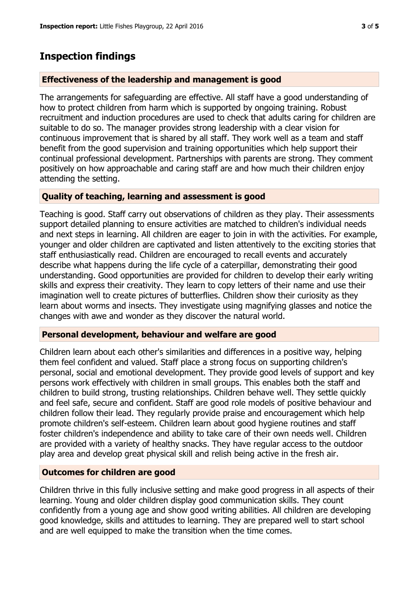## **Inspection findings**

#### **Effectiveness of the leadership and management is good**

The arrangements for safeguarding are effective. All staff have a good understanding of how to protect children from harm which is supported by ongoing training. Robust recruitment and induction procedures are used to check that adults caring for children are suitable to do so. The manager provides strong leadership with a clear vision for continuous improvement that is shared by all staff. They work well as a team and staff benefit from the good supervision and training opportunities which help support their continual professional development. Partnerships with parents are strong. They comment positively on how approachable and caring staff are and how much their children enjoy attending the setting.

#### **Quality of teaching, learning and assessment is good**

Teaching is good. Staff carry out observations of children as they play. Their assessments support detailed planning to ensure activities are matched to children's individual needs and next steps in learning. All children are eager to join in with the activities. For example, younger and older children are captivated and listen attentively to the exciting stories that staff enthusiastically read. Children are encouraged to recall events and accurately describe what happens during the life cycle of a caterpillar, demonstrating their good understanding. Good opportunities are provided for children to develop their early writing skills and express their creativity. They learn to copy letters of their name and use their imagination well to create pictures of butterflies. Children show their curiosity as they learn about worms and insects. They investigate using magnifying glasses and notice the changes with awe and wonder as they discover the natural world.

#### **Personal development, behaviour and welfare are good**

Children learn about each other's similarities and differences in a positive way, helping them feel confident and valued. Staff place a strong focus on supporting children's personal, social and emotional development. They provide good levels of support and key persons work effectively with children in small groups. This enables both the staff and children to build strong, trusting relationships. Children behave well. They settle quickly and feel safe, secure and confident. Staff are good role models of positive behaviour and children follow their lead. They regularly provide praise and encouragement which help promote children's self-esteem. Children learn about good hygiene routines and staff foster children's independence and ability to take care of their own needs well. Children are provided with a variety of healthy snacks. They have regular access to the outdoor play area and develop great physical skill and relish being active in the fresh air.

#### **Outcomes for children are good**

Children thrive in this fully inclusive setting and make good progress in all aspects of their learning. Young and older children display good communication skills. They count confidently from a young age and show good writing abilities. All children are developing good knowledge, skills and attitudes to learning. They are prepared well to start school and are well equipped to make the transition when the time comes.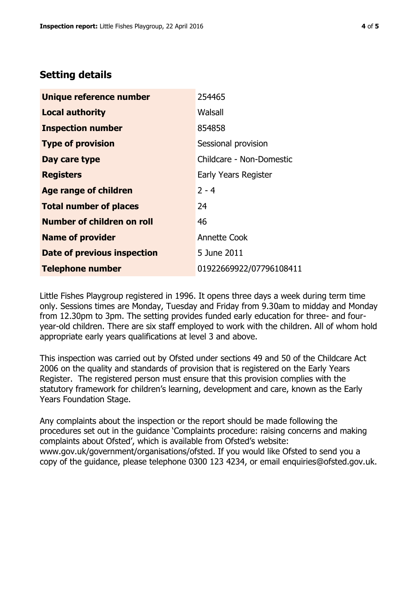### **Setting details**

| Unique reference number       | 254465                   |  |
|-------------------------------|--------------------------|--|
| <b>Local authority</b>        | Walsall                  |  |
| <b>Inspection number</b>      | 854858                   |  |
| <b>Type of provision</b>      | Sessional provision      |  |
| Day care type                 | Childcare - Non-Domestic |  |
| <b>Registers</b>              | Early Years Register     |  |
| <b>Age range of children</b>  | $2 - 4$                  |  |
| <b>Total number of places</b> | 24                       |  |
| Number of children on roll    | 46                       |  |
| <b>Name of provider</b>       | <b>Annette Cook</b>      |  |
| Date of previous inspection   | 5 June 2011              |  |
| <b>Telephone number</b>       | 01922669922/07796108411  |  |

Little Fishes Playgroup registered in 1996. It opens three days a week during term time only. Sessions times are Monday, Tuesday and Friday from 9.30am to midday and Monday from 12.30pm to 3pm. The setting provides funded early education for three- and fouryear-old children. There are six staff employed to work with the children. All of whom hold appropriate early years qualifications at level 3 and above.

This inspection was carried out by Ofsted under sections 49 and 50 of the Childcare Act 2006 on the quality and standards of provision that is registered on the Early Years Register. The registered person must ensure that this provision complies with the statutory framework for children's learning, development and care, known as the Early Years Foundation Stage.

Any complaints about the inspection or the report should be made following the procedures set out in the guidance 'Complaints procedure: raising concerns and making complaints about Ofsted', which is available from Ofsted's website: www.gov.uk/government/organisations/ofsted. If you would like Ofsted to send you a copy of the guidance, please telephone 0300 123 4234, or email enquiries@ofsted.gov.uk.